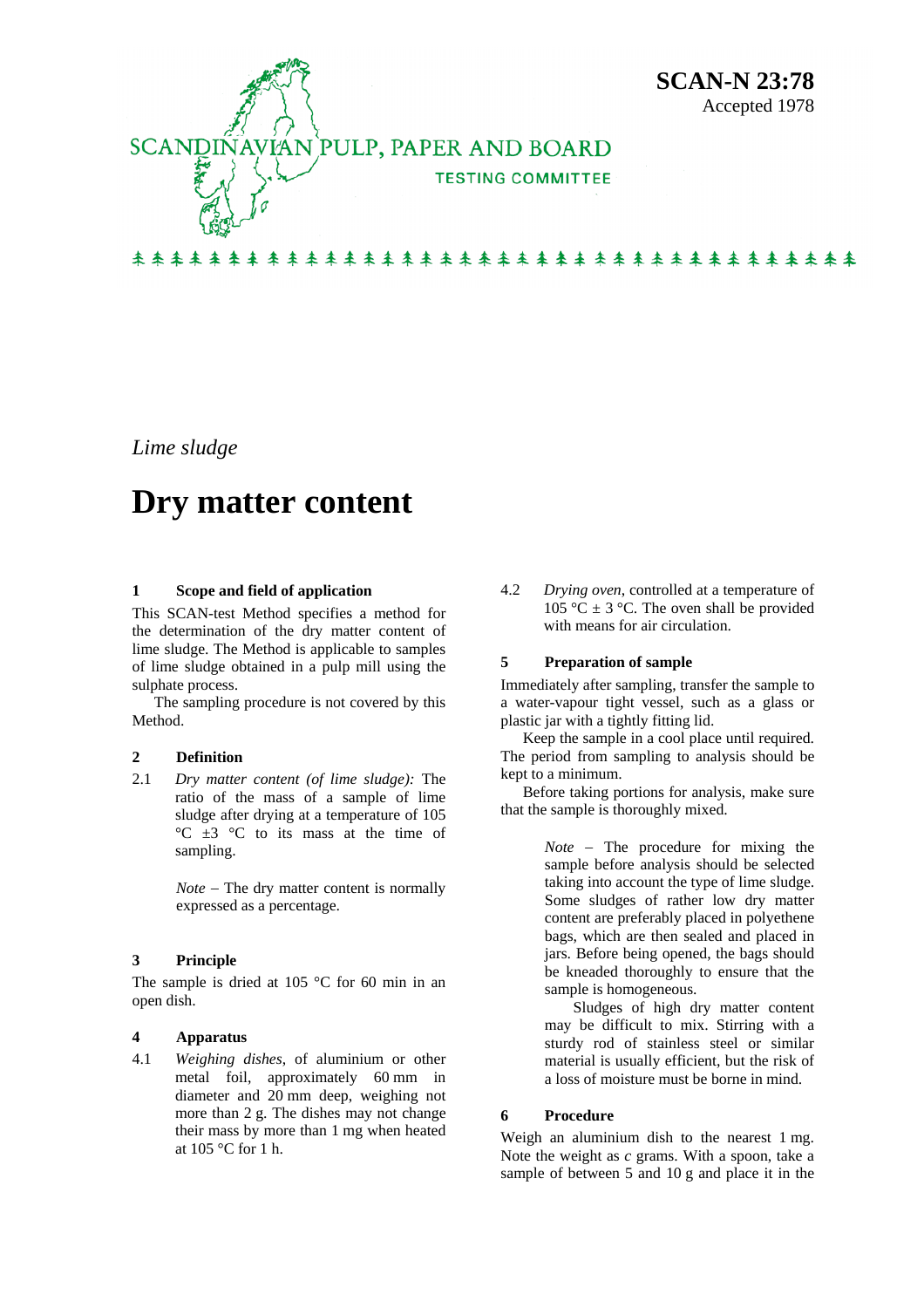

*Lime sludge* 

# **Dry matter content**

## **1 Scope and field of application**

This SCAN-test Method specifies a method for the determination of the dry matter content of lime sludge. The Method is applicable to samples of lime sludge obtained in a pulp mill using the sulphate process.

The sampling procedure is not covered by this Method.

#### **2 Definition**

2.1 *Dry matter content (of lime sludge):* The ratio of the mass of a sample of lime sludge after drying at a temperature of 105 °C ±3 °C to its mass at the time of sampling.

> *Note* − The dry matter content is normally expressed as a percentage.

# **3 Principle**

The sample is dried at  $105^{\circ}$ C for 60 min in an open dish.

## **4 Apparatus**

4.1 *Weighing dishes*, of aluminium or other metal foil, approximately 60 mm in diameter and 20 mm deep, weighing not more than 2 g. The dishes may not change their mass by more than 1 mg when heated at 105 °C for 1 h.

4.2 *Drying oven*, controlled at a temperature of 105 °C  $\pm$  3 °C. The oven shall be provided with means for air circulation.

#### **5 Preparation of sample**

Immediately after sampling, transfer the sample to a water-vapour tight vessel, such as a glass or plastic jar with a tightly fitting lid.

Keep the sample in a cool place until required. The period from sampling to analysis should be kept to a minimum.

Before taking portions for analysis, make sure that the sample is thoroughly mixed.

> *Note* − The procedure for mixing the sample before analysis should be selected taking into account the type of lime sludge. Some sludges of rather low dry matter content are preferably placed in polyethene bags, which are then sealed and placed in jars. Before being opened, the bags should be kneaded thoroughly to ensure that the sample is homogeneous.

> Sludges of high dry matter content may be difficult to mix. Stirring with a sturdy rod of stainless steel or similar material is usually efficient, but the risk of a loss of moisture must be borne in mind.

#### **6 Procedure**

Weigh an aluminium dish to the nearest 1 mg. Note the weight as *c* grams. With a spoon, take a sample of between 5 and 10 g and place it in the